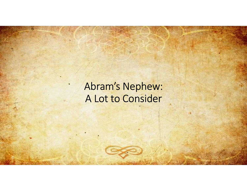# Abram's Nephew: A Lot to Consider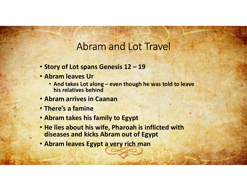# Abram and Lot Travel

- 
- Abram leaves Ur
- Abram and Lot Travel<br>• Story of Lot spans Genesis 12 19<br>• Abram leaves Ur<br>• And takes Lot along even though he was told to leave<br>• his relatives behind • Abram and Lot Travel<br>
• Abram and Lot Travel<br>
• And takes Lot along – even though he was told to leave<br>
• And takes Lot along – even though he was told to leave<br>
bram arrives in Caanan<br>
bere's a famine his relatives behind
- Abram arrives in Caanan
- There's a famine
- Abram takes his family to Egypt
- Story of Lot spans Genesis 12 19<br>• Abram leaves Ur<br>• And takes Lot along even though he was told to leave<br>• his relatives behind<br>• Abram arrives in Caanan<br>• There's a famine<br>• Abram takes his family to Egypt<br>• He lie diseases and kicks Abram out of Egypt
- Abram leaves Egypt a very rich man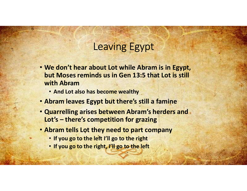# Leaving Egypt

- We don't hear about Lot while Abram is in Egypt, but Moses reminds us in Gen 13:5 that Lot is still with Abram Leaving Egypt<br>
We don't hear about Lot while Abram is in Eg<br>
but Moses reminds us in Gen 13:5 that Lot is :<br>
with Abram<br>
• And Lot also has become wealthy<br>
Abram leaves Egypt but there's still a famine<br>
Quarrelling arises **Example 10**<br> **Example 10**<br> **Example 10**<br> **Example 20**<br> **Example 20**<br> **Example 20**<br> **Example 20**<br> **Example 20**<br> **Example 20**<br> **Example 20**<br> **Example 20**<br> **Example 20**<br> **Example 20**<br> **Example 20**<br> **Example 20**<br> **Example 20** 
	- And Lot also has become wealthy
- Abram leaves Egypt but there's still a famine
- Quarrelling arises between Abram's herders and
- Abram tells Lot they need to part company
	-
	- If you go to the right, I'll go to the left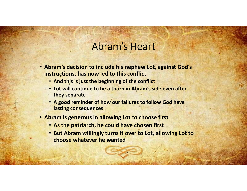## Abram's Heart

- Abram's decision to include his nephew Lot, against God's instructions, has now led to this conflict
	- And this is just the beginning of the conflict
	- Lot will continue to be a thorn in Abram's side even after they separate
	- A good reminder of how our failures to follow God have lasting consequences
- Abram is generous in allowing Lot to choose first
	- As the patriarch, he could have chosen first
	- But Abram willingly turns it over to Lot, allowing Lot to choose whatever he wanted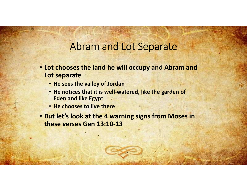### Abram and Lot Separate

- Lot chooses the land he will occupy and Abram and Lot separate
	- He sees the valley of Jordan
	- He notices that it is well-watered, like the garden of Eden and like Egypt
	- He chooses to live there
- But let's look at the 4 warning signs from Moses in these verses Gen 13:10-13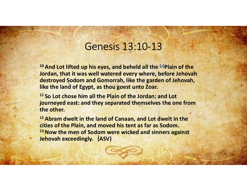#### Genesis 13:10-13

Genesis 13:10-13<br><sup>10</sup> And Lot lifted up his eyes, and beheld all the <sup>[a]</sup>Plain of the<br>Jordan, that it was well watered every where, before Jehovah<br>destroyed Sodom and Gomorrah, like the garden of Jehovah,<br>like the land of Jordan, that it was well watered every where, before Jehovah destroyed Sodom and Gomorrah, like the garden of Jehovah, Genesis 13:10-13<br>
<sup>10</sup> And Lot lifted up his eyes, and beheld all the <sup>[a]</sup>Plain of the<br>
<sup>10</sup> And Lot lifted up his eyes, and beheld all the <sup>[a]</sup>Plain of the<br> **Jordan, that it was well watered every where, before Jehovah** 

<sup>11</sup> So Lot chose him all the Plain of the Jordan; and Lot journeyed east: and they separated themselves the one from the other.

<sup>12</sup> Abram dwelt in the land of Canaan, and Lot dwelt in the cities of the Plain, and moved his tent as far as Sodom. <sup>13</sup> Now the men of Sodom were wicked and sinners against Jehovah exceedingly. (ASV)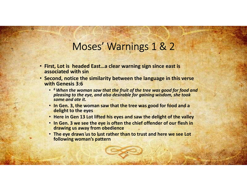# Moses' Warnings 1 & 2

- First, Lot is headed East…a clear warning sign since east is associated with sin
- Second, notice the similarity between the language in this verse with Genesis 3:6
- <sup>6</sup> When the woman saw that the fruit of the tree was good for food and<br>pleasing to the eye, and also desirable for gaining wisdom, she took MOSES' Warnings 1 & 2<br>
U. Lot is headed East ... a clear warning sign since east is<br>
ciated with sin<br>
in Genesis 3:6<br>
is When the woman saw that the fruit of the tree was good for food and<br>
pleasing to the eye, and also de some and ate it.
	- In Gen. 3, the woman saw that the tree was good for food and a delight to the eyes
	- Here in Gen 13 Lot lifted his eyes and saw the delight of the valley
	- In Gen. 3 we see the eye is often the chief offender of our flesh in drawing us away from obedience
	- The eye draws us to lust rather than to trust and here we see Lot following woman's pattern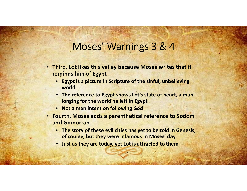# Moses' Warnings 3 & 4

- Third, Lot likes this valley because Moses writes that it reminds him of Egypt
	- Egypt is a picture in Scripture of the sinful, unbelieving world
	- The reference to Egypt shows Lot's state of heart, a man longing for the world he left in Egypt
	- Not a man intent on following God
- Fourth, Moses adds a parenthetical reference to Sodom and Gomorrah
	- The story of these evil cities has yet to be told in Genesis, of course, but they were infamous in Moses' day
	- Just as they are today, yet Lot is attracted to them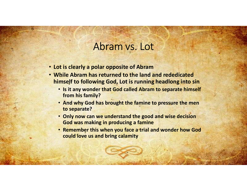# Abram vs. Lot<br>Abram vs. Lot<br>polar opposite of Abram

- 
- Lot is clearly a polar opposite of Abram<br>• Lot is clearly a polar opposite of Abram<br>• While Abram has returned to the land and rededicated<br>• Is it any wonder that God called Abram to separate himself • While Abram has returned to the land and rededicated himself to following God, Lot is running headlong into sin
	- Is it any wonder that God called Abram to separate himself from his family? • Abram vs. Lot<br>
	• Abram vs. Lot<br>
	• It is clearly a polar opposite of Abram<br>
	• It is the famine has returned to the land and rededicated<br>
	• Is it any wonder that God called Abram to separate himself<br>
	• And why God has brou
	- to separate?
	- Only now can we understand the good and wise decision God was making in producing a famine
	- Remember this when you face a trial and wonder how God could love us and bring calamity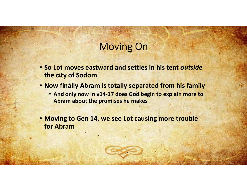# Moving On

- So Lot moves eastward and settles in his tent *outside*<br>• So Lot moves eastward and settles in his tent *outside*<br>• Now finally Abram is totally separated from his family the city of Sodom
- Now finally Abram is totally separated from his family
	- And only now in v14-17 does God begin to explain more to Abram about the promises he makes

• Moving to Gen 14, we see Lot causing more trouble for Abram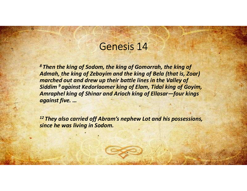## Genesis 14

8 Then the king of Sodom, the king of Gomorrah, the king of <sup>8</sup><br>
Admah, the king of Sodom, the king of Gomorrah, the king of<br>
Admah, the king of Zeboyim and the king of Bela (that is, Zoar)<br>
Admah, the king of Zeboyim and the king of Bela (that is, Zoar)<br>
Siddim<sup>9</sup> against Kedorlao marched out and drew up their battle lines in the Valley of<br>Siddim <sup>9</sup> against Kedorlaomer king of Elam, Tidal king of Goyim, Siddim 9 and the king of Sodom, the king of Gomorrah, the king of<br>
Admah, the king of Sodom, the king of Gomorrah, the king of<br>
Admah, the king of Zeboyim and the king of Bela (that is, Zoar)<br>
Siddim <sup>9</sup> against Kedorlaome Genesis 14<br>
<sup>8</sup> Then the king of Sodom, the king of Gomorrah, the king of<br>
Admah, the king of Zeboyim and the king of Bela (that is, Zoar)<br>
marched out and drew up their battle lines in the Valley of<br>
Siddim<sup>9</sup> against Ked against five. …

<sup>12</sup> They also carried off Abram's nephew Lot and his possessions, since he was living in Sodom.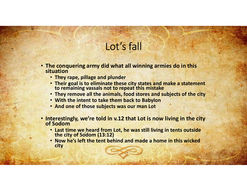# Lot's fall

- The conquering army did what all winning armies do in this situation
	- They rape, pillage and plunder
	- Their goal is to eliminate these city states and make a statement to remaining vassals not to repeat this mistake
	- They remove all the animals, food stores and subjects of the city
	- With the intent to take them back to Babylon
	- And one of those subjects was our man Lot
- Interestingly, we're told in v.12 that Lot is now living in the city of Sodom **Example 19 and from Lot** time we heard from Lot, he was still living in this window the varianing variable to the reach this misstere in the meaning variable of the city of the city of the city of Sodom (13:12) we was sti **Example 12 Example 12 Considering an and puncher** and puncher and puncher and puncher and make a statement to remaining vassals not to repeat this mistake a statement to remaining vassals not to repeat this mistake a
	-
	- city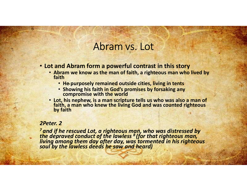#### Abram vs. Lot

- Lot and Abram form a powerful contrast in this story
- **Abram vs. Lot**<br> **Abram vs. Lot**<br> **of and Abram form a powerful contrast in this story**<br>
 Abram we know as the man of faith, a righteous man who lived by<br>
 He purposely remained outside cities, living in tents<br>
 Showing
	- He purposely remained outside cities, living in tents
	- Showing his faith in God's promises by forsaking any compromise with the world
	- Lot, his nephew, is a man scripture tells us who was also a man of faith, a man who knew the living God and was counted righteous by faith

#### 2Peter. 2

<sup>7</sup> and if he rescued Lot, a righteous man, who was distressed by the depraved conduct of the lawless <sup>8</sup> (for that righteous man, living among them day after day, was tormented in his righteous<br>soul by the lawless deeds he saw and heard)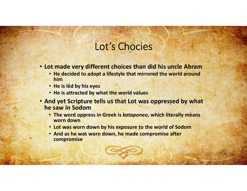# Lot's Chocies

- Lot made very different choices than did his uncle Abram
	- He decided to adopt a lifestyle that mirrored the world around him and the contract of the contract of the contract of the contract of the contract of the contract of the co
	- He is led by his eyes
	- He is attracted by what the world values
- And yet Scripture tells us that Lot was oppressed by what he saw in Sodom
	- The word oppress in Greek is kataponeo, which literally means worn down
	- Lot was worn down by his exposure to the world of Sodom
	- And as he was worn down, he made compromise after compromise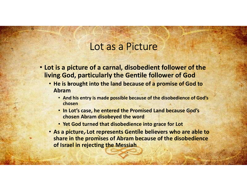#### Lot as a Picture

- Lot is a picture of a carnal, disobedient follower of the living God, particularly the Gentile follower of God
	- He is brought into the land because of a promise of God to Abram
		- And his entry is made possible because of the disobedience of God's chosen
		- In Lot's case, he entered the Promised Land because God's chosen Abram disobeyed the word
		- Yet God turned that disobedience into grace for Lot
	- As a picture, Lot represents Gentile believers who are able to share in the promises of Abram because of the disobedience of Israel in rejecting the Messiah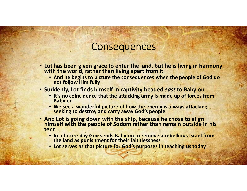#### **Consequences**

- Lot has been given grace to enter the land, but he is living in harmony with the world, rather than living apart from it
	- And he begins to picture the consequences when the people of God do not follow Him fully
- Suddenly, Lot finds himself in captivity headed east to Babylon
	- It's no coincidence that the attacking army is made up of forces from<br>Babylon
	- We see a wonderful picture of how the enemy is always attacking,<br>seeking to destroy and carry away God's people
- And Lot is going down with the ship, because he chose to align<br>himself with the people of Sodom rather than remain outside in his tent
	- In a future day God sends Babylon to remove a rebellious Israel from the land as punishment for their faithlessness
	- Lot serves as that picture for God's purposes in teaching us today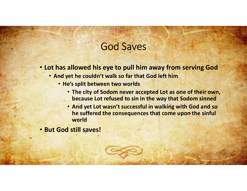- God Saves • Lot has allowed his eye to pull him away from serving God
	- And yet he couldn't walk so far that God left him
		- He's split between two worlds
			- The city of Sodom never accepted Lot as one of their own, because Lot refused to sin in the way that Sodom sinned
			- And yet Lot wasn't successful in walking with God and so he suffered the consequences that come upon the sinful world
- But God still saves!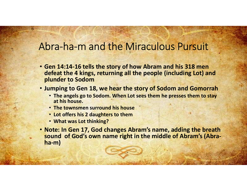# Abra-ha-m and the Miraculous Pursuit<br>
Abra-ha-m and the Miraculous Pursuit<br>
• Gen 14:14-16 tells the story of how Abram and his 318 men

- Gen 14:14-16 tells the story of how Abram and his 318 men defeat the 4 kings, returning all the people (including Lot) and plunder to Sodom • The angels go to Sodom. When Lot sees them he presses them to stay<br>• The angels go to Sodom. When a start of the angle is a state of the angle go to Sodom. When Lot sees them he presses them to stay<br>• The angels go to So
- Jumping to Gen 18, we hear the story of Sodom and Gomorrah
	- at his house.
	- The townsmen surround his house
	- Lot offers his 2 daughters to them
	- What was Lot thinking?
- Note: In Gen 17, God changes Abram's name, adding the breath sound of God's own name right in the middle of Abram's (Abraha-m)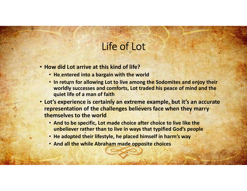# Life of Lot

- How did Lot arrive at this kind of life?
	-
- He entered into a bargain with the world<br>• He entered into a bargain with the world<br>• In return for allowing Lot to live among the Sodomites and enjoy<br>• Worldly successes and comforts, Lot traded his peace of mind a quie • If example and the Control of Lot to life?<br>• He entered into a bargain with the world<br>• In return for allowing Lot to live among the Sodomites and enjoy their<br>• worldly successes and comforts, Lot traded his peace of min worldly successes and comforts, Lot traded his peace of mind and the quiet life of a man of faith
- Lot's experience is certainly an extreme example, but it's an accurate representation of the challenges believers face when they marry themselves to the world
	- And to be specific, Lot made choice after choice to live like the unbeliever rather than to live in ways that typified God's people
	- He adopted their lifestyle, he placed himself in harm's way
	- And all the while Abraham made opposite choices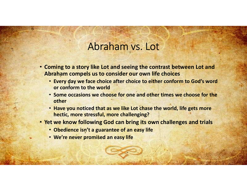### Abraham vs. Lot

- Coming to a story like Lot and seeing the contrast between Lot and Abraham compels us to consider our own life choices **Example 19 Apple 19 Apple 19 Apple 19 Apple 19 Apple 19 Apple 19 Apple 19 Apple 19 Apple 19 Apple 19 Apple 19 Apple 19 Apple 19 Apple 19 Apple 19 Apple 19 Apple 19 Apple 19 Apple 19 Apple 19 Apple 19 Apple 19 Apple 19 App Example 18 a story like Lot and seeing the contrast between Lot and<br>
braham compels us to consider our own life choices<br>
• Every day we face choice after choice to either conform to God's word<br>
• or conform to the world<br>** 
	- Every day we face choice after choice to either conform to God's word or conform to the world
	- Some occasions we choose for one and other times we choose for the other
	- hectic, more stressful, more challenging?
- Yet we know following God can bring its own challenges and trials
	- Obedience isn't a guarantee of an easy life
	-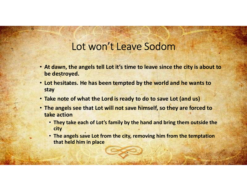# Lot won't Leave Sodom

- At dawn, the angels tell Lot it's time to leave since the city is about to be destroyed.
- Lot hesitates. He has been tempted by the world and he wants to stay
- Take note of what the Lord is ready to do to save Lot (and us)
- The angels see that Lot will not save himself, so they are forced to take action
	- They take each of Lot's family by the hand and bring them outside the city
	- The angels save Lot from the city, removing him from the temptation that held him in place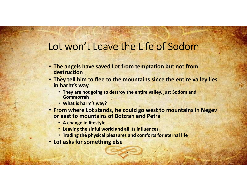### Lot won't Leave the Life of Sodom

- The angels have saved Lot from temptation but not from destruction
- They tell him to flee to the mountains since the entire valley lies in harm's way **Ot WON't Leave the Life of Sodom**<br>
The angels have saved Lot from temptation but not from<br>
They tell him to flee to the mountains since the entire valley lies<br>
in harm's way<br>
• They are not going to destroy the entire val
	- They are not going to destroy the entire valley, just Sodom and Gommorrah
	- What is harm's way?
- From where Lot stands, he could go west to mountains in Negev
	- A change in lifestyle
	- Leaving the sinful world and all its influences
	- Trading the physical pleasures and comforts for eternal life
- Lot asks for something else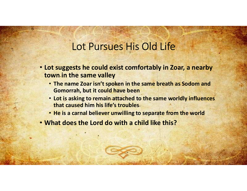# Lot Pursues His Old Life

- Lot suggests he could exist comfortably in Zoar, a nearby town in the same valley **Example 18 Concerned Solution School School School School School School School School School School School School School School School School School School School School School School School School School School School Sc** 
	- Gomorrah, but it could have been
	- Lot is asking to remain attached to the same worldly influences that caused him his life's troubles
	- He is a carnal believer unwilling to separate from the world
- What does the Lord do with a child like this?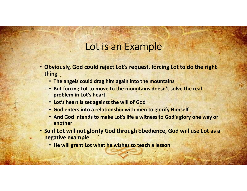- Lot is an Example<br>
could reject Lot's request, forcing Lot to do the right • Obviously, God could reject Lot's request, forcing Lot to do the right thing **Example**<br> **Example**<br> **Example**<br> **Example**<br> **Example**<br> **Example**<br> **Example**<br> **Example**<br> **Example**<br> **Example**<br> **Example**<br> **Example**<br> **Example Example By to to move to the mountains<br>
<b>Examplem in Lot's heart**<br> **Examplem in L** • Obviously, God could reject Lot's request, forcing Lot to do the right<br>thing<br>
• The angels could drag him again into the mountains<br>
• But forcing Lot to move to the mountains doesn't solve the real<br>
• Iot's heart is set
	- The angels could drag him again into the mountains
	- But forcing Lot to move to the mountains doesn't solve the real problem in Lot's heart
	- Lot's heart is set against the will of God
	-
	- And God intends to make Lot's life a witness to God's glory one way or another
- negative example
	- He will grant Lot what he wishes to teach a lesson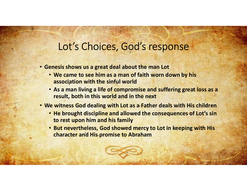#### Lot's Choices, God's response

- Genesis shows us a great deal about the man Lot
	- We came to see him as a man of faith worn down by his association with the sinful world
	- As a man living a life of compromise and suffering great loss as a result, both in this world and in the next
- We witness God dealing with Lot as a Father deals with His children
	- He brought discipline and allowed the consequences of Lot's sin to rest upon him and his family
	- But nevertheless, God showed mercy to Lot in keeping with His character and His promise to Abraham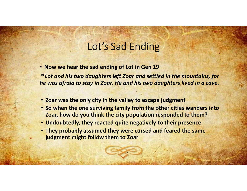# Lot's Sad Ending

• Now we hear the sad ending of Lot in Gen 19 Lot's Sad Ending<br>30 Lot and his two daughters left Zoar and settled in the mountains, for<br><sup>30</sup> Lot and his two daughters left Zoar and settled in the mountains, for<br>he was afraid to stay in Zoar. He and his two daughters l he was afraid to stay in Zoar. He and his two daughters lived in a cave. **Example 19 Example 10**<br> **Lot's Sad Ending**<br> **Polonomy we hear the sad ending of Lot in Gen 19**<br> **Polonomy of the valley to estape in the mountains, for the was afraid to stay in Zoar. He and his two daughters lived in a c** • So when the one surviving family from the other presence the same was afraid to stay in Zoar. He and his two daughters lived in a cave.<br>• Zoar was afraid to stay in Zoar. He and his two daughters lived in a cave.<br>• Zoar

- 
- Zoar, how do you think the city population responded to them?
- Undoubtedly, they reacted quite negatively to their presence
- They probably assumed they were cursed and feared the same judgment might follow them to Zoar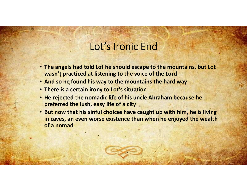### Lot's Ironic End

- The angels had told Lot he should escape to the mountains, but Lot wasn't practiced at listening to the voice of the Lord • The angels had told Lot he should escape to the mountains, but Lot<br>• The angels had told Lot he should escape to the mountains, but Lot<br>• And so he found his way to the mountains the hard way<br>• There is a certain irony t
- 
- There is a certain irony to Lot's situation
- He rejected the nomadic life of his uncle Abraham because he preferred the lush, easy life of a city
- But now that his sinful choices have caught up with him, he is living in caves, an even worse existence than when he enjoyed the wealth of a nomad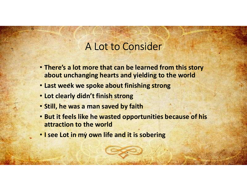#### A Lot to Consider

- There's a lot more that can be learned from this story about unchanging hearts and yielding to the world
- Last week we spoke about finishing strong
- Lot clearly didn't finish strong
- Still, he was a man saved by faith
- But it feels like he wasted opportunities because of his attraction to the world • There's a lot more that can be learned from this story<br>about unchanging hearts and yielding to the world<br>• Last week we spoke about finishing strong<br>• Lot clearly didn't finish strong<br>• Still, he was a man saved by faith
-